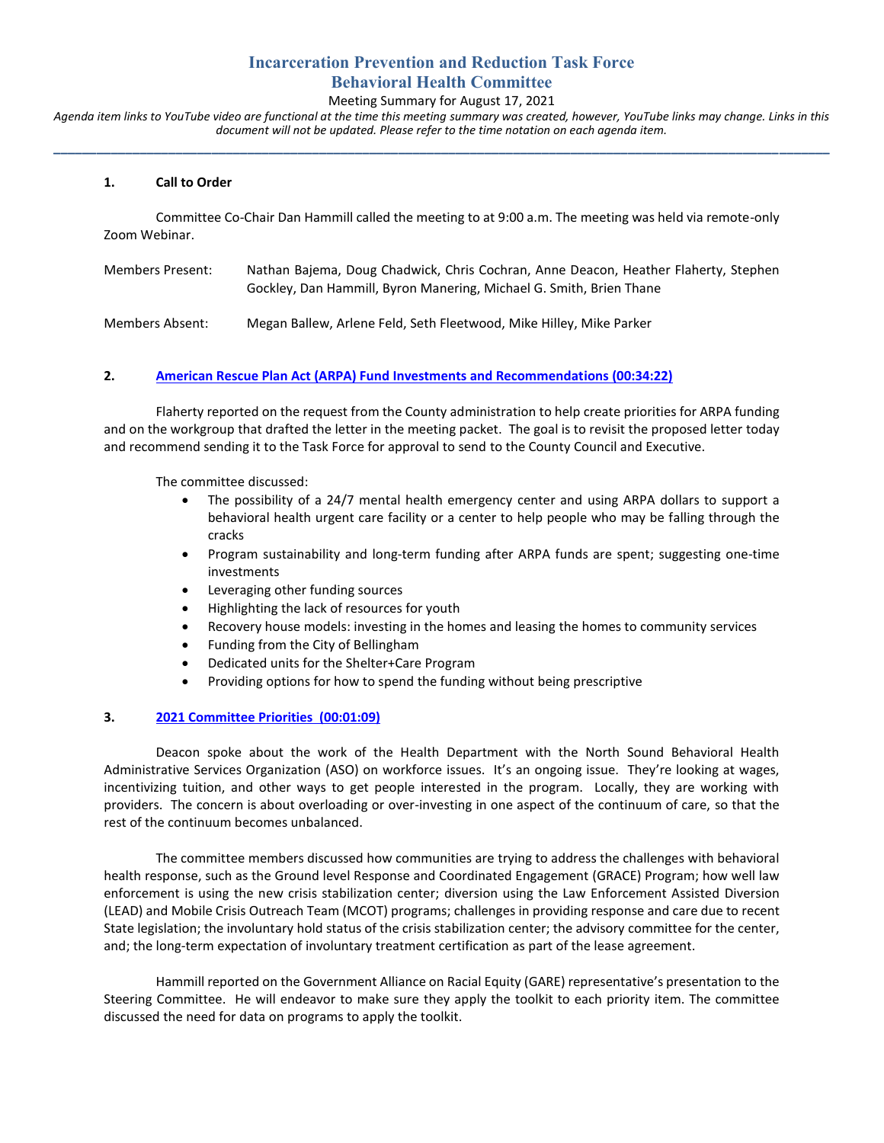# **Incarceration Prevention and Reduction Task Force Behavioral Health Committee**

### Meeting Summary for August 17, 2021

*Agenda item links to YouTube video are functional at the time this meeting summary was created, however, YouTube links may change. Links in this document will not be updated. Please refer to the time notation on each agenda item.* **\_\_\_\_\_\_\_\_\_\_\_\_\_\_\_\_\_\_\_\_\_\_\_\_\_\_\_\_\_\_\_\_\_\_\_\_\_\_\_\_\_\_\_\_\_\_\_\_\_\_\_\_\_\_\_\_\_\_\_\_\_\_\_\_\_\_\_\_\_\_\_\_\_\_\_\_\_\_\_\_\_\_\_\_\_\_\_\_\_\_\_\_\_\_\_\_\_\_\_\_\_\_\_\_\_\_\_\_**

### **1. Call to Order**

Committee Co-Chair Dan Hammill called the meeting to at 9:00 a.m. The meeting was held via remote-only Zoom Webinar.

| Members Present: | Nathan Bajema, Doug Chadwick, Chris Cochran, Anne Deacon, Heather Flaherty, Stephen<br>Gockley, Dan Hammill, Byron Manering, Michael G. Smith, Brien Thane |
|------------------|------------------------------------------------------------------------------------------------------------------------------------------------------------|
| Members Absent:  | Megan Ballew, Arlene Feld, Seth Fleetwood, Mike Hilley, Mike Parker                                                                                        |

#### **2. [American Rescue Plan Act \(ARPA\) Fund Investments and Recommendations](https://youtu.be/AXdKfrG0ZpE?t=2061) (00:34:22)**

Flaherty reported on the request from the County administration to help create priorities for ARPA funding and on the workgroup that drafted the letter in the meeting packet. The goal is to revisit the proposed letter today and recommend sending it to the Task Force for approval to send to the County Council and Executive.

The committee discussed:

- The possibility of a 24/7 mental health emergency center and using ARPA dollars to support a behavioral health urgent care facility or a center to help people who may be falling through the cracks
- Program sustainability and long-term funding after ARPA funds are spent; suggesting one-time investments
- Leveraging other funding sources
- Highlighting the lack of resources for youth
- Recovery house models: investing in the homes and leasing the homes to community services
- Funding from the City of Bellingham
- Dedicated units for the Shelter+Care Program
- Providing options for how to spend the funding without being prescriptive

### **3. [2021 Committee Priorities](https://youtu.be/AXdKfrG0ZpE?t=68) (00:01:09)**

Deacon spoke about the work of the Health Department with the North Sound Behavioral Health Administrative Services Organization (ASO) on workforce issues. It's an ongoing issue. They're looking at wages, incentivizing tuition, and other ways to get people interested in the program. Locally, they are working with providers. The concern is about overloading or over-investing in one aspect of the continuum of care, so that the rest of the continuum becomes unbalanced.

The committee members discussed how communities are trying to address the challenges with behavioral health response, such as the Ground level Response and Coordinated Engagement (GRACE) Program; how well law enforcement is using the new crisis stabilization center; diversion using the Law Enforcement Assisted Diversion (LEAD) and Mobile Crisis Outreach Team (MCOT) programs; challenges in providing response and care due to recent State legislation; the involuntary hold status of the crisis stabilization center; the advisory committee for the center, and; the long-term expectation of involuntary treatment certification as part of the lease agreement.

Hammill reported on the Government Alliance on Racial Equity (GARE) representative's presentation to the Steering Committee. He will endeavor to make sure they apply the toolkit to each priority item. The committee discussed the need for data on programs to apply the toolkit.